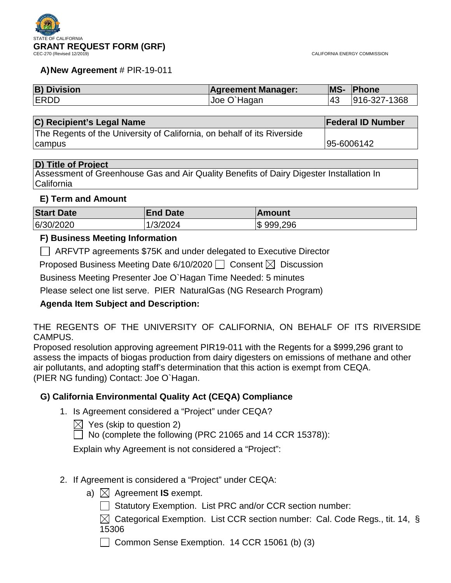

### **A)New Agreement** # PIR-19-011

| <b>B) Division</b> | <b>Agreement Manager:</b> |     | <b>MS- Phone</b> |
|--------------------|---------------------------|-----|------------------|
| <b>ERDD</b>        | Joe O'Hagan               | 143 | 916-327-1368     |

#### **C) Recipient's Legal Name Federal ID Number**

The Regents of the University of California, on behalf of its Riverside campus 95-6006142

### **D) Title of Project**

Assessment of Greenhouse Gas and Air Quality Benefits of Dairy Digester Installation In **California** 

### **E) Term and Amount**

| <b>Start Date</b> | <b>End Date</b> | ∣Amount    |
|-------------------|-----------------|------------|
| 6/30/2020         | 1/3/2024        | \$ 999,296 |

### **F) Business Meeting Information**

ARFVTP agreements \$75K and under delegated to Executive Director

Proposed Business Meeting Date 6/10/2020  $\Box$  Consent  $\boxtimes$  Discussion

Business Meeting Presenter Joe O`Hagan Time Needed: 5 minutes

Please select one list serve. PIER NaturalGas (NG Research Program)

## **Agenda Item Subject and Description:**

THE REGENTS OF THE UNIVERSITY OF CALIFORNIA, ON BEHALF OF ITS RIVERSIDE CAMPUS.

Proposed resolution approving agreement PIR19-011 with the Regents for a \$999,296 grant to assess the impacts of biogas production from dairy digesters on emissions of methane and other air pollutants, and adopting staff's determination that this action is exempt from CEQA. (PIER NG funding) Contact: Joe O`Hagan.

## **G) California Environmental Quality Act (CEQA) Compliance**

1. Is Agreement considered a "Project" under CEQA?

 $\boxtimes$  Yes (skip to question 2)

 $\Box$  No (complete the following (PRC 21065 and 14 CCR 15378)):

Explain why Agreement is not considered a "Project":

- 2. If Agreement is considered a "Project" under CEQA:
	- a)  $\boxtimes$  Agreement **IS** exempt.
		- Statutory Exemption. List PRC and/or CCR section number:

 $\boxtimes$  Categorical Exemption. List CCR section number: Cal. Code Regs., tit. 14, § 15306

Common Sense Exemption. 14 CCR 15061 (b) (3)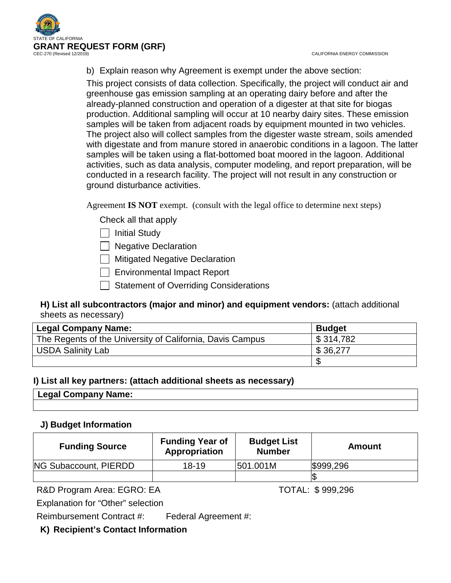

b) Explain reason why Agreement is exempt under the above section:

This project consists of data collection. Specifically, the project will conduct air and greenhouse gas emission sampling at an operating dairy before and after the already-planned construction and operation of a digester at that site for biogas production. Additional sampling will occur at 10 nearby dairy sites. These emission samples will be taken from adjacent roads by equipment mounted in two vehicles. The project also will collect samples from the digester waste stream, soils amended with digestate and from manure stored in anaerobic conditions in a lagoon. The latter samples will be taken using a flat-bottomed boat moored in the lagoon. Additional activities, such as data analysis, computer modeling, and report preparation, will be conducted in a research facility. The project will not result in any construction or ground disturbance activities.

Agreement **IS NOT** exempt. (consult with the legal office to determine next steps)

Check all that apply

- | | Initial Study
- □ Negative Declaration

Mitigated Negative Declaration

| Environmental Impact Report

 $\Box$  Statement of Overriding Considerations

## **H) List all subcontractors (major and minor) and equipment vendors:** (attach additional sheets as necessary)

| <b>Legal Company Name:</b>                                | <b>Budget</b> |
|-----------------------------------------------------------|---------------|
| The Regents of the University of California, Davis Campus | \$314,782     |
| <b>USDA Salinity Lab</b>                                  | \$36,277      |
|                                                           |               |

### **I) List all key partners: (attach additional sheets as necessary)**

**Legal Company Name:**

## **J) Budget Information**

| <b>Funding Source</b> | <b>Funding Year of</b><br>Appropriation | <b>Budget List</b><br><b>Number</b> | Amount    |
|-----------------------|-----------------------------------------|-------------------------------------|-----------|
| NG Subaccount, PIERDD | 18-19                                   | 501.001M                            | \$999,296 |
|                       |                                         |                                     |           |

R&D Program Area: EGRO: EA TOTAL: \$999,296

Explanation for "Other" selection

Reimbursement Contract #: Federal Agreement #:

## **K) Recipient's Contact Information**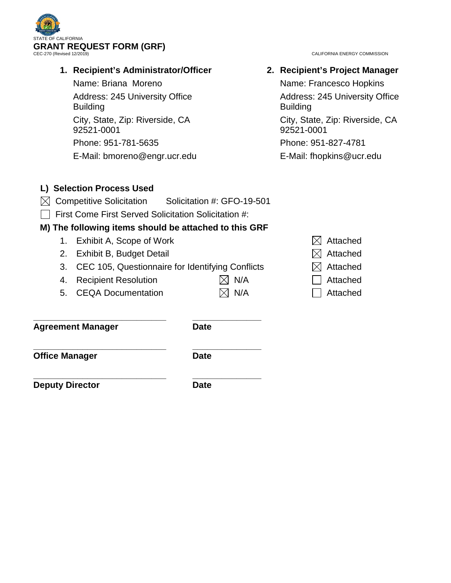

# **1. Recipient's Administrator/Officer**

Name: Briana Moreno Address: 245 University Office **Building** City, State, Zip: Riverside, CA 92521-0001

Phone: 951-781-5635 E-Mail: bmoreno@engr.ucr.edu

# **2. Recipient's Project Manager**

Name: Francesco Hopkins Address: 245 University Office **Building** City, State, Zip: Riverside, CA 92521-0001

Phone: 951-827-4781

E-Mail: fhopkins@ucr.edu

# **L) Selection Process Used**

- $\boxtimes$  Competitive Solicitation Solicitation #: GFO-19-501
- $\Box$  First Come First Served Solicitation Solicitation #:

# **M) The following items should be attached to this GRF**

- 1. Exhibit A, Scope of Work  $\boxtimes$  Attached
- 2. Exhibit B, Budget Detail  $\boxtimes$  Attached
- 3. CEC 105, Questionnaire for Identifying Conflicts  $\boxtimes$  Attached
- 4. Recipient Resolution  $\boxtimes$  N/A  $\Box$  Attached
- 5. CEQA Documentation  $\boxtimes$  N/A  $\Box$  Attached

**\_\_\_\_\_\_\_\_\_\_\_\_\_\_\_\_\_\_\_\_\_\_\_\_\_\_\_ \_\_\_\_\_\_\_\_\_\_\_\_\_\_ Agreement Manager Date**

**Office Manager Date** 

**\_\_\_\_\_\_\_\_\_\_\_\_\_\_\_\_\_\_\_\_\_\_\_\_\_\_\_ \_\_\_\_\_\_\_\_\_\_\_\_\_\_**

**Deputy Director Date** 

**\_\_\_\_\_\_\_\_\_\_\_\_\_\_\_\_\_\_\_\_\_\_\_\_\_\_\_ \_\_\_\_\_\_\_\_\_\_\_\_\_\_**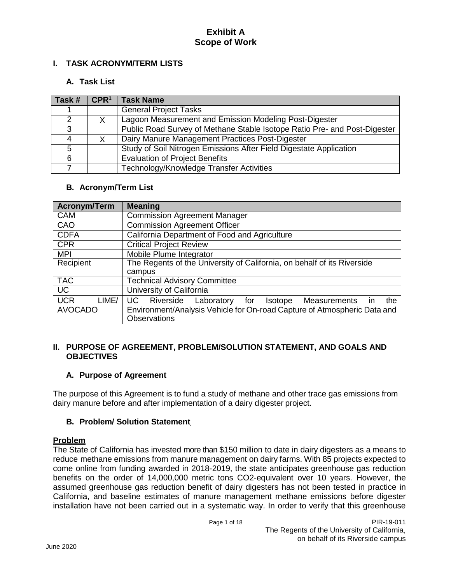### **I. TASK ACRONYM/TERM LISTS**

### **A. Task List**

| Task # | CPR <sup>1</sup> | <b>Task Name</b>                                                          |
|--------|------------------|---------------------------------------------------------------------------|
|        |                  | <b>General Project Tasks</b>                                              |
| ົ      |                  | Lagoon Measurement and Emission Modeling Post-Digester                    |
| 3      |                  | Public Road Survey of Methane Stable Isotope Ratio Pre- and Post-Digester |
|        |                  | Dairy Manure Management Practices Post-Digester                           |
| 5      |                  | Study of Soil Nitrogen Emissions After Field Digestate Application        |
| 6      |                  | <b>Evaluation of Project Benefits</b>                                     |
|        |                  | Technology/Knowledge Transfer Activities                                  |

### **B. Acronym/Term List**

| <b>Acronym/Term</b> | <b>Meaning</b>                                                                    |
|---------------------|-----------------------------------------------------------------------------------|
| <b>CAM</b>          | Commission Agreement Manager                                                      |
| CAO                 | <b>Commission Agreement Officer</b>                                               |
| <b>CDFA</b>         | California Department of Food and Agriculture                                     |
| <b>CPR</b>          | <b>Critical Project Review</b>                                                    |
| <b>MPI</b>          | Mobile Plume Integrator                                                           |
| Recipient           | The Regents of the University of California, on behalf of its Riverside           |
|                     | campus                                                                            |
| <b>TAC</b>          | <b>Technical Advisory Committee</b>                                               |
| $\overline{UC}$     | University of California                                                          |
| <b>UCR</b><br>LIME/ | <b>UC</b><br>Riverside<br>Laboratory for<br>Measurements<br>Isotope<br>the<br>in. |
| <b>AVOCADO</b>      | Environment/Analysis Vehicle for On-road Capture of Atmospheric Data and          |
|                     | <b>Observations</b>                                                               |

#### **II. PURPOSE OF AGREEMENT, PROBLEM/SOLUTION STATEMENT, AND GOALS AND OBJECTIVES**

### **A. Purpose of Agreement**

The purpose of this Agreement is to fund a study of methane and other trace gas emissions from dairy manure before and after implementation of a dairy digester project.

### <span id="page-3-0"></span>**B. Problem/ Solution Statement**

### **Problem**

The State of California has invested more than \$150 million to date in dairy digesters as a means to reduce methane emissions from manure management on dairy farms. With 85 projects expected to come online from funding awarded in 2018-2019, the state anticipates greenhouse gas reduction benefits on the order of 14,000,000 metric tons CO2-equivalent over 10 years. However, the assumed greenhouse gas reduction benefit of dairy digesters has not been tested in practice in California, and baseline estimates of manure management methane emissions before digester installation have not been carried out in a systematic way. In order to verify that this greenhouse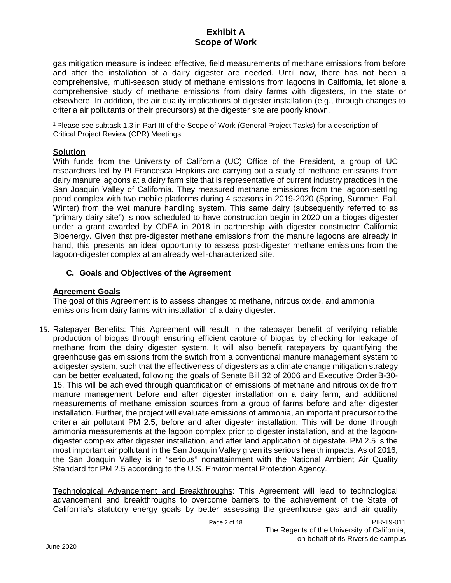gas mitigation measure is indeed effective, field measurements of methane emissions from before and after the installation of a dairy digester are needed. Until now, there has not been a comprehensive, multi-season study of methane emissions from lagoons in California, let alone a comprehensive study of methane emissions from dairy farms with digesters, in the state or elsewhere. In addition, the air quality implications of digester installation (e.g., through changes to criteria air pollutants or their precursors) at the digester site are poorly known.

<sup>1</sup> Please see subtask 1.3 in Part III of the Scope of Work (General Project Tasks) for a description of Critical Project Review (CPR) Meetings.

### **Solution**

With funds from the University of California (UC) Office of the President, a group of UC researchers led by PI Francesca Hopkins are carrying out a study of methane emissions from dairy manure lagoons at a dairy farm site that is representative of current industry practices in the San Joaquin Valley of California. They measured methane emissions from the lagoon-settling pond complex with two mobile platforms during 4 seasons in 2019-2020 (Spring, Summer, Fall, Winter) from the wet manure handling system. This same dairy (subsequently referred to as "primary dairy site") is now scheduled to have construction begin in 2020 on a biogas digester under a grant awarded by CDFA in 2018 in partnership with digester constructor California Bioenergy. Given that pre-digester methane emissions from the manure lagoons are already in hand, this presents an ideal opportunity to assess post-digester methane emissions from the lagoon-digester complex at an already well-characterized site.

### **C. Goals and Objectives of the Agreement**

### **Agreement Goals**

The goal of this Agreement is to assess changes to methane, nitrous oxide, and ammonia emissions from dairy farms with installation of a dairy digester.

15. Ratepayer Benefits: This Agreement will result in the ratepayer benefit of verifying reliable production of biogas through ensuring efficient capture of biogas by checking for leakage of methane from the dairy digester system. It will also benefit ratepayers by quantifying the greenhouse gas emissions from the switch from a conventional manure management system to a digester system, such that the effectiveness of digesters as a climate change mitigation strategy can be better evaluated, following the goals of Senate Bill 32 of 2006 and Executive OrderB-30- 15. This will be achieved through quantification of emissions of methane and nitrous oxide from manure management before and after digester installation on a dairy farm, and additional measurements of methane emission sources from a group of farms before and after digester installation. Further, the project will evaluate emissions of ammonia, an important precursor to the criteria air pollutant PM 2.5, before and after digester installation. This will be done through ammonia measurements at the lagoon complex prior to digester installation, and at the lagoondigester complex after digester installation, and after land application of digestate. PM 2.5 is the most important air pollutant in the San Joaquin Valley given its serious health impacts. As of 2016, the San Joaquin Valley is in "serious" nonattainment with the National Ambient Air Quality Standard for PM 2.5 according to the U.S. Environmental Protection Agency.

Technological Advancement and Breakthroughs: This Agreement will lead to technological advancement and breakthroughs to overcome barriers to the achievement of the State of California's statutory energy goals by better assessing the greenhouse gas and air quality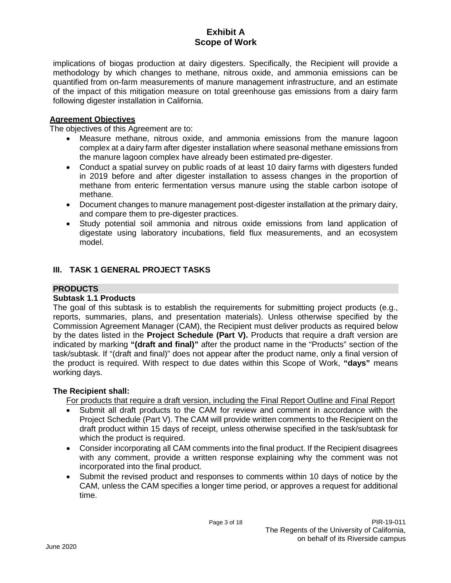implications of biogas production at dairy digesters. Specifically, the Recipient will provide a methodology by which changes to methane, nitrous oxide, and ammonia emissions can be quantified from on-farm measurements of manure management infrastructure, and an estimate of the impact of this mitigation measure on total greenhouse gas emissions from a dairy farm following digester installation in California.

### **Agreement Objectives**

The objectives of this Agreement are to:

- Measure methane, nitrous oxide, and ammonia emissions from the manure lagoon complex at a dairy farm after digester installation where seasonal methane emissions from the manure lagoon complex have already been estimated pre-digester.
- Conduct a spatial survey on public roads of at least 10 dairy farms with digesters funded in 2019 before and after digester installation to assess changes in the proportion of methane from enteric fermentation versus manure using the stable carbon isotope of methane.
- Document changes to manure management post-digester installation at the primary dairy, and compare them to pre-digester practices.
- Study potential soil ammonia and nitrous oxide emissions from land application of digestate using laboratory incubations, field flux measurements, and an ecosystem model.

### **III. TASK 1 GENERAL PROJECT TASKS**

### **PRODUCTS**

### **Subtask 1.1 Products**

The goal of this subtask is to establish the requirements for submitting project products (e.g., reports, summaries, plans, and presentation materials). Unless otherwise specified by the Commission Agreement Manager (CAM), the Recipient must deliver products as required below by the dates listed in the **Project Schedule (Part V).** Products that require a draft version are indicated by marking **"(draft and final)"** after the product name in the "Products" section of the task/subtask. If "(draft and final)" does not appear after the product name, only a final version of the product is required. With respect to due dates within this Scope of Work, **"days"** means working days.

### **The Recipient shall:**

For products that require a draft version, including the Final Report Outline and Final Report

- Submit all draft products to the CAM for review and comment in accordance with the Project Schedule (Part V). The CAM will provide written comments to the Recipient on the draft product within 15 days of receipt, unless otherwise specified in the task/subtask for which the product is required.
- Consider incorporating all CAM comments into the final product. If the Recipient disagrees with any comment, provide a written response explaining why the comment was not incorporated into the final product.
- Submit the revised product and responses to comments within 10 days of notice by the CAM, unless the CAM specifies a longer time period, or approves a request for additional time.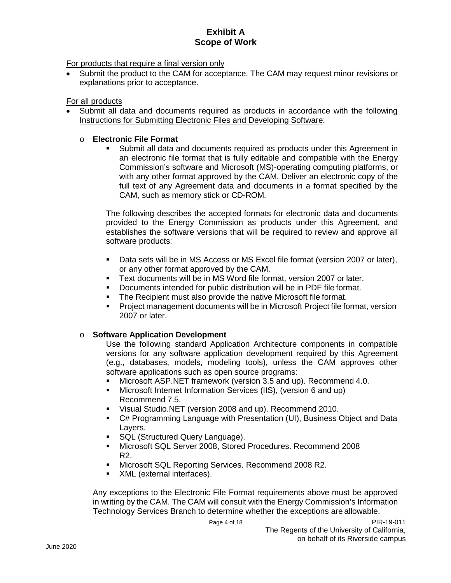For products that require a final version only

• Submit the product to the CAM for acceptance. The CAM may request minor revisions or explanations prior to acceptance.

#### For all products

• Submit all data and documents required as products in accordance with the following Instructions for Submitting Electronic Files and Developing Software:

#### o **Electronic File Format**

 Submit all data and documents required as products under this Agreement in an electronic file format that is fully editable and compatible with the Energy Commission's software and Microsoft (MS)-operating computing platforms, or with any other format approved by the CAM. Deliver an electronic copy of the full text of any Agreement data and documents in a format specified by the CAM, such as memory stick or CD-ROM.

The following describes the accepted formats for electronic data and documents provided to the Energy Commission as products under this Agreement, and establishes the software versions that will be required to review and approve all software products:

- Data sets will be in MS Access or MS Excel file format (version 2007 or later), or any other format approved by the CAM.
- Text documents will be in MS Word file format, version 2007 or later.
- Documents intended for public distribution will be in PDF file format.
- **The Recipient must also provide the native Microsoft file format.**
- Project management documents will be in Microsoft Project file format, version 2007 or later.

### o **Software Application Development**

Use the following standard Application Architecture components in compatible versions for any software application development required by this Agreement (e.g., databases, models, modeling tools), unless the CAM approves other software applications such as open source programs:

- Microsoft ASP.NET framework (version 3.5 and up). Recommend 4.0.
- Microsoft Internet Information Services (IIS), (version 6 and up) Recommend 7.5.
- Visual Studio.NET (version 2008 and up). Recommend 2010.
- C# Programming Language with Presentation (UI), Business Object and Data Layers.
- **SQL (Structured Query Language).**
- Microsoft SQL Server 2008, Stored Procedures. Recommend 2008 R2.
- Microsoft SQL Reporting Services. Recommend 2008 R2.
- XML (external interfaces).

Any exceptions to the Electronic File Format requirements above must be approved in writing by the CAM. The CAM will consult with the Energy Commission's Information Technology Services Branch to determine whether the exceptions are allowable.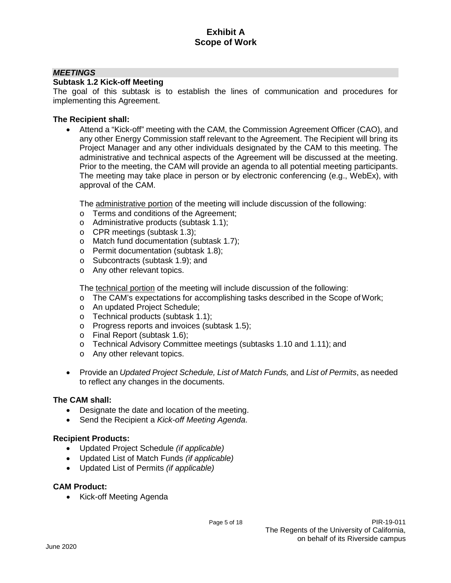### *MEETINGS*

#### **Subtask 1.2 Kick-off Meeting**

The goal of this subtask is to establish the lines of communication and procedures for implementing this Agreement.

#### **The Recipient shall:**

• Attend a "Kick-off" meeting with the CAM, the Commission Agreement Officer (CAO), and any other Energy Commission staff relevant to the Agreement. The Recipient will bring its Project Manager and any other individuals designated by the CAM to this meeting. The administrative and technical aspects of the Agreement will be discussed at the meeting. Prior to the meeting, the CAM will provide an agenda to all potential meeting participants. The meeting may take place in person or by electronic conferencing (e.g., WebEx), with approval of the CAM.

The administrative portion of the meeting will include discussion of the following:

- o Terms and conditions of the Agreement;
- o Administrative products (subtask 1.1);
- o CPR meetings (subtask 1.3);
- o Match fund documentation (subtask 1.7);
- o Permit documentation (subtask 1.8);
- o Subcontracts (subtask 1.9); and
- o Any other relevant topics.

The technical portion of the meeting will include discussion of the following:

- o The CAM's expectations for accomplishing tasks described in the Scope ofWork;
- o An updated Project Schedule;
- o Technical products (subtask 1.1);
- o Progress reports and invoices (subtask 1.5);
- o Final Report (subtask 1.6);
- o Technical Advisory Committee meetings (subtasks 1.10 and 1.11); and
- o Any other relevant topics.
- Provide an *Updated Project Schedule, List of Match Funds,* and *List of Permits*, as needed to reflect any changes in the documents.

#### **The CAM shall:**

- Designate the date and location of the meeting.
- Send the Recipient a *Kick-off Meeting Agenda*.

#### **Recipient Products:**

- Updated Project Schedule *(if applicable)*
- Updated List of Match Funds *(if applicable)*
- Updated List of Permits *(if applicable)*

#### **CAM Product:**

• Kick-off Meeting Agenda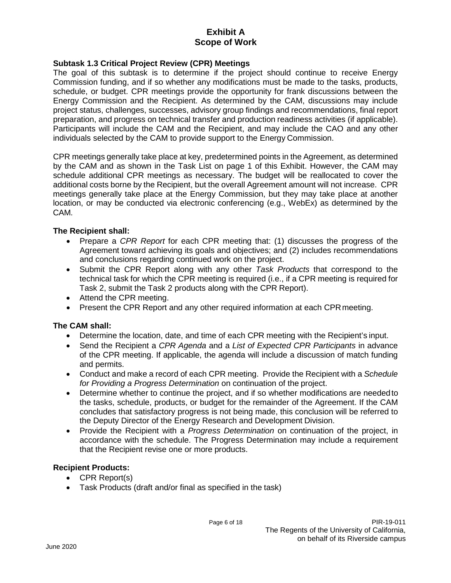### **Subtask 1.3 Critical Project Review (CPR) Meetings**

The goal of this subtask is to determine if the project should continue to receive Energy Commission funding, and if so whether any modifications must be made to the tasks, products, schedule, or budget. CPR meetings provide the opportunity for frank discussions between the Energy Commission and the Recipient. As determined by the CAM, discussions may include project status, challenges, successes, advisory group findings and recommendations, final report preparation, and progress on technical transfer and production readiness activities (if applicable). Participants will include the CAM and the Recipient, and may include the CAO and any other individuals selected by the CAM to provide support to the Energy Commission.

CPR meetings generally take place at key, predetermined points in the Agreement, as determined by the CAM and as shown in the Task List on page 1 of this Exhibit. However, the CAM may schedule additional CPR meetings as necessary. The budget will be reallocated to cover the additional costs borne by the Recipient, but the overall Agreement amount will not increase. CPR meetings generally take place at the Energy Commission, but they may take place at another location, or may be conducted via electronic conferencing (e.g., WebEx) as determined by the CAM.

### **The Recipient shall:**

- Prepare a *CPR Report* for each CPR meeting that: (1) discusses the progress of the Agreement toward achieving its goals and objectives; and (2) includes recommendations and conclusions regarding continued work on the project.
- Submit the CPR Report along with any other *Task Products* that correspond to the technical task for which the CPR meeting is required (i.e., if a CPR meeting is required for Task 2, submit the Task 2 products along with the CPR Report).
- Attend the CPR meeting.
- Present the CPR Report and any other required information at each CPRmeeting.

### **The CAM shall:**

- Determine the location, date, and time of each CPR meeting with the Recipient's input.
- Send the Recipient a *CPR Agenda* and a *List of Expected CPR Participants* in advance of the CPR meeting. If applicable, the agenda will include a discussion of match funding and permits.
- Conduct and make a record of each CPR meeting. Provide the Recipient with a *Schedule for Providing a Progress Determination* on continuation of the project.
- Determine whether to continue the project, and if so whether modifications are neededto the tasks, schedule, products, or budget for the remainder of the Agreement. If the CAM concludes that satisfactory progress is not being made, this conclusion will be referred to the Deputy Director of the Energy Research and Development Division.
- Provide the Recipient with a *Progress Determination* on continuation of the project, in accordance with the schedule. The Progress Determination may include a requirement that the Recipient revise one or more products.

### **Recipient Products:**

- CPR Report(s)
- Task Products (draft and/or final as specified in the task)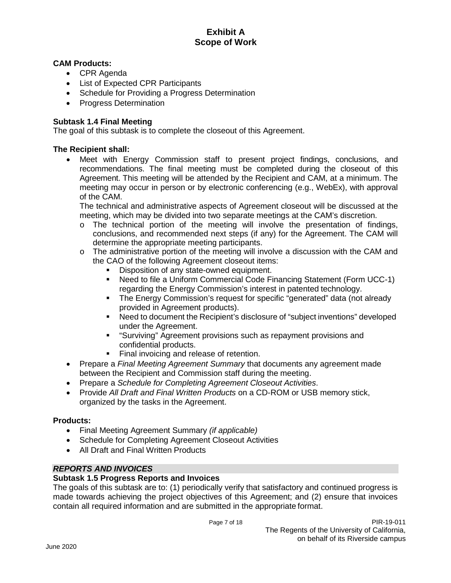### **CAM Products:**

- CPR Agenda
- List of Expected CPR Participants
- Schedule for Providing a Progress Determination
- Progress Determination

### **Subtask 1.4 Final Meeting**

The goal of this subtask is to complete the closeout of this Agreement.

#### **The Recipient shall:**

• Meet with Energy Commission staff to present project findings, conclusions, and recommendations. The final meeting must be completed during the closeout of this Agreement. This meeting will be attended by the Recipient and CAM, at a minimum. The meeting may occur in person or by electronic conferencing (e.g., WebEx), with approval of the CAM.

The technical and administrative aspects of Agreement closeout will be discussed at the meeting, which may be divided into two separate meetings at the CAM's discretion.

- o The technical portion of the meeting will involve the presentation of findings, conclusions, and recommended next steps (if any) for the Agreement. The CAM will determine the appropriate meeting participants.
- $\circ$  The administrative portion of the meeting will involve a discussion with the CAM and the CAO of the following Agreement closeout items:
	- Disposition of any state-owned equipment.
	- Need to file a Uniform Commercial Code Financing Statement (Form UCC-1) regarding the Energy Commission's interest in patented technology.
	- The Energy Commission's request for specific "generated" data (not already provided in Agreement products).
	- Need to document the Recipient's disclosure of "subject inventions" developed under the Agreement.
	- "Surviving" Agreement provisions such as repayment provisions and confidential products.
	- Final invoicing and release of retention.
- Prepare a *Final Meeting Agreement Summary* that documents any agreement made between the Recipient and Commission staff during the meeting.
- Prepare a *Schedule for Completing Agreement Closeout Activities*.
- Provide *All Draft and Final Written Products* on a CD-ROM or USB memory stick, organized by the tasks in the Agreement.

#### **Products:**

- Final Meeting Agreement Summary *(if applicable)*
- Schedule for Completing Agreement Closeout Activities
- All Draft and Final Written Products

#### *REPORTS AND INVOICES*

#### **Subtask 1.5 Progress Reports and Invoices**

The goals of this subtask are to: (1) periodically verify that satisfactory and continued progress is made towards achieving the project objectives of this Agreement; and (2) ensure that invoices contain all required information and are submitted in the appropriate format.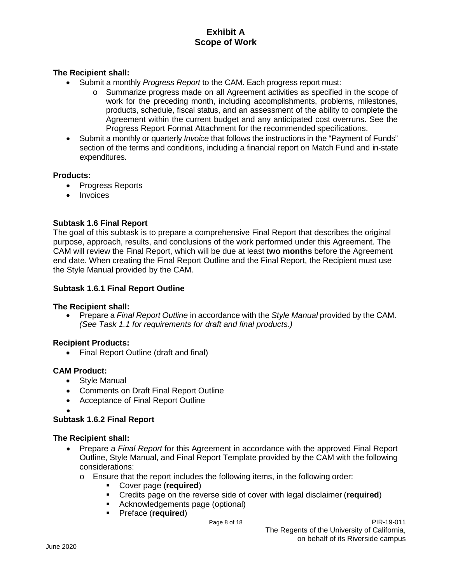### **The Recipient shall:**

- Submit a monthly *Progress Report* to the CAM. Each progress report must:
	- o Summarize progress made on all Agreement activities as specified in the scope of work for the preceding month, including accomplishments, problems, milestones, products, schedule, fiscal status, and an assessment of the ability to complete the Agreement within the current budget and any anticipated cost overruns. See the Progress Report Format Attachment for the recommended specifications.
- Submit a monthly or quarterly *Invoice* that follows the instructions in the "Payment of Funds" section of the terms and conditions, including a financial report on Match Fund and in-state expenditures.

#### **Products:**

- Progress Reports
- **Invoices**

### **Subtask 1.6 Final Report**

The goal of this subtask is to prepare a comprehensive Final Report that describes the original purpose, approach, results, and conclusions of the work performed under this Agreement. The CAM will review the Final Report, which will be due at least **two months** before the Agreement end date. When creating the Final Report Outline and the Final Report, the Recipient must use the Style Manual provided by the CAM.

#### **Subtask 1.6.1 Final Report Outline**

#### **The Recipient shall:**

• Prepare a *Final Report Outline* in accordance with the *Style Manual* provided by the CAM. *(See Task 1.1 for requirements for draft and final products.)*

#### **Recipient Products:**

• Final Report Outline (draft and final)

#### **CAM Product:**

- Style Manual
- Comments on Draft Final Report Outline
- Acceptance of Final Report Outline
- •

#### **Subtask 1.6.2 Final Report**

#### **The Recipient shall:**

- Prepare a *Final Report* for this Agreement in accordance with the approved Final Report Outline, Style Manual, and Final Report Template provided by the CAM with the following considerations:
	- $\circ$  Ensure that the report includes the following items, in the following order:
		- Cover page (**required**)
		- Credits page on the reverse side of cover with legal disclaimer (**required**)
		- Acknowledgements page (optional)
		- Preface (**required**)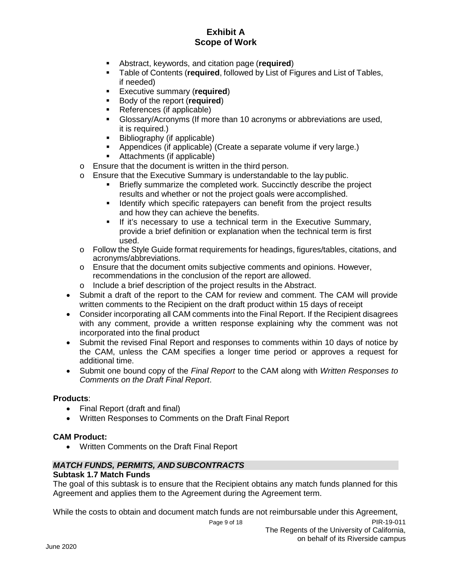- Abstract, keywords, and citation page (**required**)
- Table of Contents (**required**, followed by List of Figures and List of Tables, if needed)
- **Executive summary (required)**
- Body of the report (**required**)
- References (if applicable)
- Glossary/Acronyms (If more than 10 acronyms or abbreviations are used, it is required.)
- Bibliography (if applicable)
- Appendices (if applicable) (Create a separate volume if very large.)
- Attachments (if applicable)
- o Ensure that the document is written in the third person.
- o Ensure that the Executive Summary is understandable to the lay public.
	- Briefly summarize the completed work. Succinctly describe the project results and whether or not the project goals were accomplished.
	- I dentify which specific ratepayers can benefit from the project results and how they can achieve the benefits.
	- If it's necessary to use a technical term in the Executive Summary, provide a brief definition or explanation when the technical term is first used.
- o Follow the Style Guide format requirements for headings, figures/tables, citations, and acronyms/abbreviations.
- o Ensure that the document omits subjective comments and opinions. However, recommendations in the conclusion of the report are allowed.
- o Include a brief description of the project results in the Abstract.
- Submit a draft of the report to the CAM for review and comment. The CAM will provide written comments to the Recipient on the draft product within 15 days of receipt
- Consider incorporating all CAM comments into the Final Report. If the Recipient disagrees with any comment, provide a written response explaining why the comment was not incorporated into the final product
- Submit the revised Final Report and responses to comments within 10 days of notice by the CAM, unless the CAM specifies a longer time period or approves a request for additional time.
- Submit one bound copy of the *Final Report* to the CAM along with *Written Responses to Comments on the Draft Final Report*.

### **Products**:

- Final Report (draft and final)
- Written Responses to Comments on the Draft Final Report

### **CAM Product:**

• Written Comments on the Draft Final Report

## *MATCH FUNDS, PERMITS, AND SUBCONTRACTS*

### **Subtask 1.7 Match Funds**

The goal of this subtask is to ensure that the Recipient obtains any match funds planned for this Agreement and applies them to the Agreement during the Agreement term.

While the costs to obtain and document match funds are not reimbursable under this Agreement,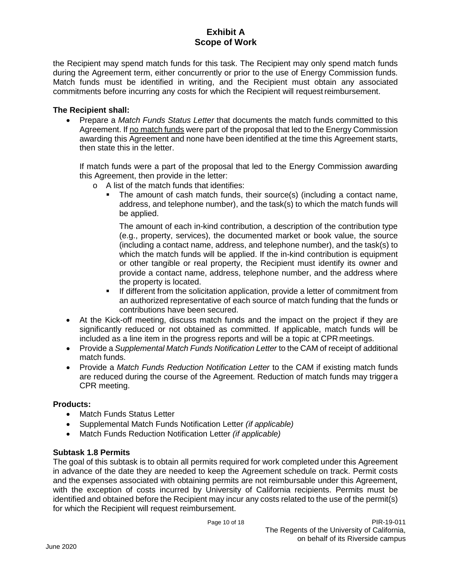the Recipient may spend match funds for this task. The Recipient may only spend match funds during the Agreement term, either concurrently or prior to the use of Energy Commission funds. Match funds must be identified in writing, and the Recipient must obtain any associated commitments before incurring any costs for which the Recipient will requestreimbursement.

### **The Recipient shall:**

• Prepare a *Match Funds Status Letter* that documents the match funds committed to this Agreement. If no match funds were part of the proposal that led to the Energy Commission awarding this Agreement and none have been identified at the time this Agreement starts, then state this in the letter.

If match funds were a part of the proposal that led to the Energy Commission awarding this Agreement, then provide in the letter:

- o A list of the match funds that identifies:
	- The amount of cash match funds, their source(s) (including a contact name, address, and telephone number), and the task(s) to which the match funds will be applied.

The amount of each in-kind contribution, a description of the contribution type (e.g., property, services), the documented market or book value, the source (including a contact name, address, and telephone number), and the task(s) to which the match funds will be applied. If the in-kind contribution is equipment or other tangible or real property, the Recipient must identify its owner and provide a contact name, address, telephone number, and the address where the property is located.

- **If different from the solicitation application, provide a letter of commitment from** an authorized representative of each source of match funding that the funds or contributions have been secured.
- At the Kick-off meeting, discuss match funds and the impact on the project if they are significantly reduced or not obtained as committed. If applicable, match funds will be included as a line item in the progress reports and will be a topic at CPRmeetings.
- Provide a *Supplemental Match Funds Notification Letter* to the CAM of receipt of additional match funds.
- Provide a *Match Funds Reduction Notification Letter* to the CAM if existing match funds are reduced during the course of the Agreement. Reduction of match funds may triggera CPR meeting.

### **Products:**

- Match Funds Status Letter
- Supplemental Match Funds Notification Letter *(if applicable)*
- Match Funds Reduction Notification Letter *(if applicable)*

### **Subtask 1.8 Permits**

The goal of this subtask is to obtain all permits required for work completed under this Agreement in advance of the date they are needed to keep the Agreement schedule on track. Permit costs and the expenses associated with obtaining permits are not reimbursable under this Agreement, with the exception of costs incurred by University of California recipients. Permits must be identified and obtained before the Recipient may incur any costs related to the use of the permit(s) for which the Recipient will request reimbursement.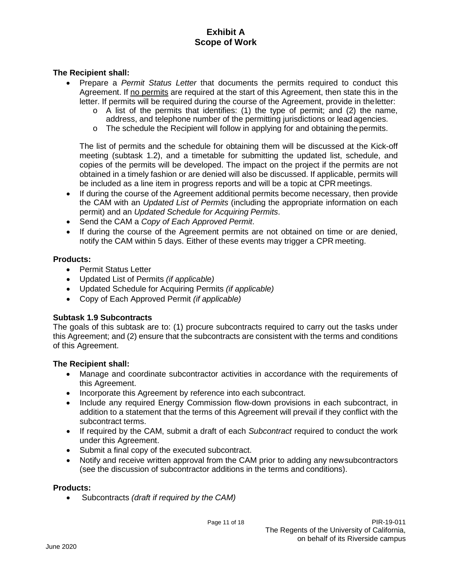### **The Recipient shall:**

- Prepare a *Permit Status Letter* that documents the permits required to conduct this Agreement. If no permits are required at the start of this Agreement, then state this in the letter. If permits will be required during the course of the Agreement, provide in theletter:
	- $\circ$  A list of the permits that identifies: (1) the type of permit; and (2) the name, address, and telephone number of the permitting jurisdictions or lead agencies.
	- o The schedule the Recipient will follow in applying for and obtaining the permits.

The list of permits and the schedule for obtaining them will be discussed at the Kick-off meeting (subtask 1.2), and a timetable for submitting the updated list, schedule, and copies of the permits will be developed. The impact on the project if the permits are not obtained in a timely fashion or are denied will also be discussed. If applicable, permits will be included as a line item in progress reports and will be a topic at CPR meetings.

- If during the course of the Agreement additional permits become necessary, then provide the CAM with an *Updated List of Permits* (including the appropriate information on each permit) and an *Updated Schedule for Acquiring Permits*.
- Send the CAM a *Copy of Each Approved Permit*.
- If during the course of the Agreement permits are not obtained on time or are denied, notify the CAM within 5 days. Either of these events may trigger a CPR meeting.

#### **Products:**

- Permit Status Letter
- Updated List of Permits *(if applicable)*
- Updated Schedule for Acquiring Permits *(if applicable)*
- Copy of Each Approved Permit *(if applicable)*

#### **Subtask 1.9 Subcontracts**

The goals of this subtask are to: (1) procure subcontracts required to carry out the tasks under this Agreement; and (2) ensure that the subcontracts are consistent with the terms and conditions of this Agreement.

#### **The Recipient shall:**

- Manage and coordinate subcontractor activities in accordance with the requirements of this Agreement.
- Incorporate this Agreement by reference into each subcontract.
- Include any required Energy Commission flow-down provisions in each subcontract, in addition to a statement that the terms of this Agreement will prevail if they conflict with the subcontract terms.
- If required by the CAM, submit a draft of each *Subcontract* required to conduct the work under this Agreement.
- Submit a final copy of the executed subcontract.
- Notify and receive written approval from the CAM prior to adding any newsubcontractors (see the discussion of subcontractor additions in the terms and conditions).

#### **Products:**

• Subcontracts *(draft if required by the CAM)*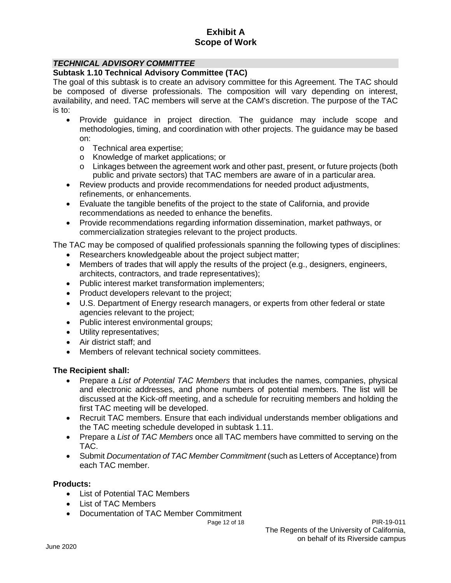### *TECHNICAL ADVISORY COMMITTEE*

#### **Subtask 1.10 Technical Advisory Committee (TAC)**

The goal of this subtask is to create an advisory committee for this Agreement. The TAC should be composed of diverse professionals. The composition will vary depending on interest, availability, and need. TAC members will serve at the CAM's discretion. The purpose of the TAC is to:

- Provide guidance in project direction. The guidance may include scope and methodologies, timing, and coordination with other projects. The guidance may be based on:
	- o Technical area expertise;
	- o Knowledge of market applications; or
	- o Linkages between the agreement work and other past, present, or future projects (both public and private sectors) that TAC members are aware of in a particular area.
- Review products and provide recommendations for needed product adjustments, refinements, or enhancements.
- Evaluate the tangible benefits of the project to the state of California, and provide recommendations as needed to enhance the benefits.
- Provide recommendations regarding information dissemination, market pathways, or commercialization strategies relevant to the project products.

The TAC may be composed of qualified professionals spanning the following types of disciplines:

- Researchers knowledgeable about the project subject matter;
- Members of trades that will apply the results of the project (e.g., designers, engineers, architects, contractors, and trade representatives);
- Public interest market transformation implementers;
- Product developers relevant to the project;
- U.S. Department of Energy research managers, or experts from other federal or state agencies relevant to the project;
- Public interest environmental groups;
- Utility representatives;
- Air district staff; and
- Members of relevant technical society committees.

### **The Recipient shall:**

- Prepare a *List of Potential TAC Members* that includes the names, companies, physical and electronic addresses, and phone numbers of potential members. The list will be discussed at the Kick-off meeting, and a schedule for recruiting members and holding the first TAC meeting will be developed.
- Recruit TAC members. Ensure that each individual understands member obligations and the TAC meeting schedule developed in subtask 1.11.
- Prepare a *List of TAC Members* once all TAC members have committed to serving on the TAC.
- Submit *Documentation of TAC Member Commitment* (such as Letters of Acceptance) from each TAC member.

### **Products:**

- List of Potential TAC Members
- List of TAC Members
- Documentation of TAC Member Commitment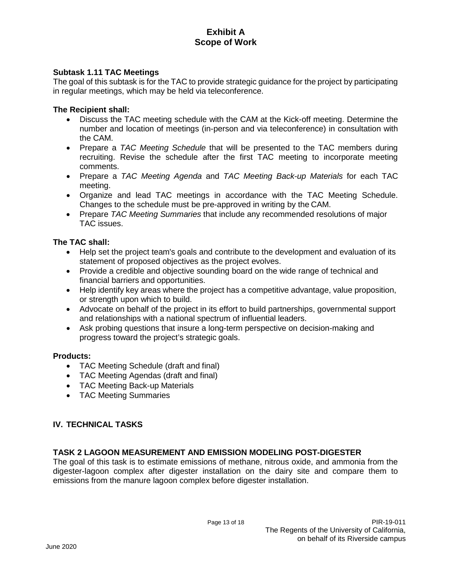### **Subtask 1.11 TAC Meetings**

The goal of this subtask is for the TAC to provide strategic guidance for the project by participating in regular meetings, which may be held via teleconference.

#### **The Recipient shall:**

- Discuss the TAC meeting schedule with the CAM at the Kick-off meeting. Determine the number and location of meetings (in-person and via teleconference) in consultation with the CAM.
- Prepare a *TAC Meeting Schedule* that will be presented to the TAC members during recruiting. Revise the schedule after the first TAC meeting to incorporate meeting comments.
- Prepare a *TAC Meeting Agenda* and *TAC Meeting Back-up Materials* for each TAC meeting.
- Organize and lead TAC meetings in accordance with the TAC Meeting Schedule. Changes to the schedule must be pre-approved in writing by the CAM.
- Prepare *TAC Meeting Summaries* that include any recommended resolutions of major TAC issues.

#### **The TAC shall:**

- Help set the project team's goals and contribute to the development and evaluation of its statement of proposed objectives as the project evolves.
- Provide a credible and objective sounding board on the wide range of technical and financial barriers and opportunities.
- Help identify key areas where the project has a competitive advantage, value proposition, or strength upon which to build.
- Advocate on behalf of the project in its effort to build partnerships, governmental support and relationships with a national spectrum of influential leaders.
- Ask probing questions that insure a long-term perspective on decision-making and progress toward the project's strategic goals.

#### **Products:**

- TAC Meeting Schedule (draft and final)
- TAC Meeting Agendas (draft and final)
- TAC Meeting Back-up Materials
- TAC Meeting Summaries

### **IV. TECHNICAL TASKS**

#### **TASK 2 LAGOON MEASUREMENT AND EMISSION MODELING POST-DIGESTER**

The goal of this task is to estimate emissions of methane, nitrous oxide, and ammonia from the digester-lagoon complex after digester installation on the dairy site and compare them to emissions from the manure lagoon complex before digester installation.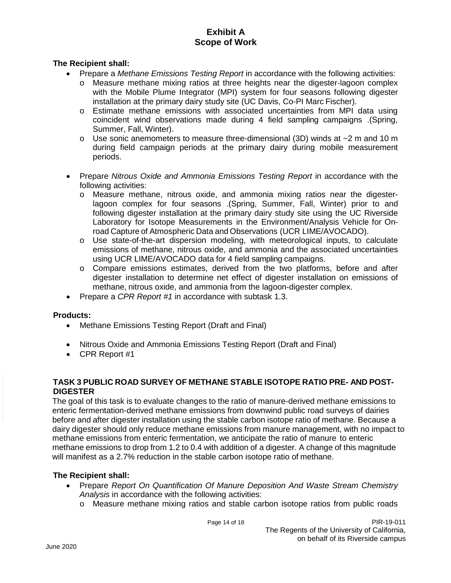### **The Recipient shall:**

- Prepare a *Methane Emissions Testing Report* in accordance with the following activities:
	- o Measure methane mixing ratios at three heights near the digester-lagoon complex with the Mobile Plume Integrator (MPI) system for four seasons following digester installation at the primary dairy study site (UC Davis, Co-PI Marc Fischer).
	- o Estimate methane emissions with associated uncertainties from MPI data using coincident wind observations made during 4 field sampling campaigns .(Spring, Summer, Fall, Winter).
	- $\circ$  Use sonic anemometers to measure three-dimensional (3D) winds at  $\sim$ 2 m and 10 m during field campaign periods at the primary dairy during mobile measurement periods.
- Prepare *Nitrous Oxide and Ammonia Emissions Testing Report* in accordance with the following activities:
	- o Measure methane, nitrous oxide, and ammonia mixing ratios near the digesterlagoon complex for four seasons .(Spring, Summer, Fall, Winter) prior to and following digester installation at the primary dairy study site using the UC Riverside Laboratory for Isotope Measurements in the Environment/Analysis Vehicle for Onroad Capture of Atmospheric Data and Observations (UCR LIME/AVOCADO).
	- o Use state-of-the-art dispersion modeling, with meteorological inputs, to calculate emissions of methane, nitrous oxide, and ammonia and the associated uncertainties using UCR LIME/AVOCADO data for 4 field sampling campaigns.
	- o Compare emissions estimates, derived from the two platforms, before and after digester installation to determine net effect of digester installation on emissions of methane, nitrous oxide, and ammonia from the lagoon-digester complex.
- Prepare a *CPR Report #1* in accordance with subtask 1.3.

#### **Products:**

- Methane Emissions Testing Report (Draft and Final)
- Nitrous Oxide and Ammonia Emissions Testing Report (Draft and Final)
- CPR Report #1

### **TASK 3 PUBLIC ROAD SURVEY OF METHANE STABLE ISOTOPE RATIO PRE- AND POST-DIGESTER**

The goal of this task is to evaluate changes to the ratio of manure-derived methane emissions to enteric fermentation-derived methane emissions from downwind public road surveys of dairies before and after digester installation using the stable carbon isotope ratio of methane. Because a dairy digester should only reduce methane emissions from manure management, with no impact to methane emissions from enteric fermentation, we anticipate the ratio of manure to enteric methane emissions to drop from 1.2 to 0.4 with addition of a digester. A change of this magnitude will manifest as a 2.7% reduction in the stable carbon isotope ratio of methane.

#### **The Recipient shall:**

- Prepare *Report On Quantification Of Manure Deposition And Waste Stream Chemistry Analysis* in accordance with the following activities:
	- o Measure methane mixing ratios and stable carbon isotope ratios from public roads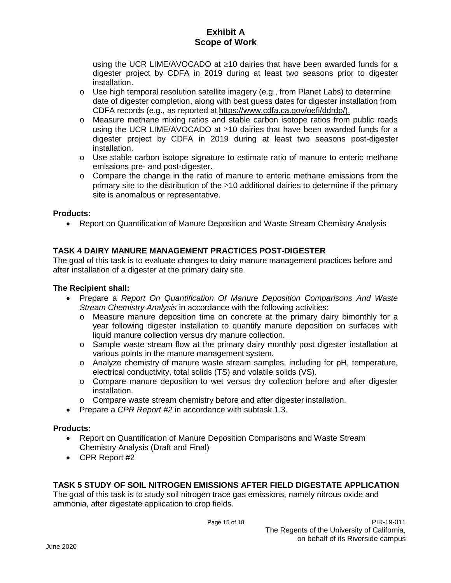using the UCR LIME/AVOCADO at ≥10 dairies that have been awarded funds for a digester project by CDFA in 2019 during at least two seasons prior to digester installation.

- $\circ$  Use high temporal resolution satellite imagery (e.g., from Planet Labs) to determine date of digester completion, along with best guess dates for digester installation from CDFA records (e.g., as reported at https://www.cdfa.ca.gov/oefi/ddrdp/).
- o Measure methane mixing ratios and stable carbon isotope ratios from public roads using the UCR LIME/AVOCADO at ≥10 dairies that have been awarded funds for a digester project by CDFA in 2019 during at least two seasons post-digester installation.
- $\circ$  Use stable carbon isotope signature to estimate ratio of manure to enteric methane emissions pre- and post-digester.
- $\circ$  Compare the change in the ratio of manure to enteric methane emissions from the primary site to the distribution of the ≥10 additional dairies to determine if the primary site is anomalous or representative.

### **Products:**

• Report on Quantification of Manure Deposition and Waste Stream Chemistry Analysis

## **TASK 4 DAIRY MANURE MANAGEMENT PRACTICES POST-DIGESTER**

The goal of this task is to evaluate changes to dairy manure management practices before and after installation of a digester at the primary dairy site.

### **The Recipient shall:**

- Prepare a *Report On Quantification Of Manure Deposition Comparisons And Waste Stream Chemistry Analysis* in accordance with the following activities:
	- o Measure manure deposition time on concrete at the primary dairy bimonthly for a year following digester installation to quantify manure deposition on surfaces with liquid manure collection versus dry manure collection.
	- o Sample waste stream flow at the primary dairy monthly post digester installation at various points in the manure management system.
	- o Analyze chemistry of manure waste stream samples, including for pH, temperature, electrical conductivity, total solids (TS) and volatile solids (VS).
	- o Compare manure deposition to wet versus dry collection before and after digester installation.
	- o Compare waste stream chemistry before and after digester installation.
- Prepare a *CPR Report #2* in accordance with subtask 1.3.

### **Products:**

- Report on Quantification of Manure Deposition Comparisons and Waste Stream Chemistry Analysis (Draft and Final)
- CPR Report #2

### **TASK 5 STUDY OF SOIL NITROGEN EMISSIONS AFTER FIELD DIGESTATE APPLICATION**

The goal of this task is to study soil nitrogen trace gas emissions, namely nitrous oxide and ammonia, after digestate application to crop fields.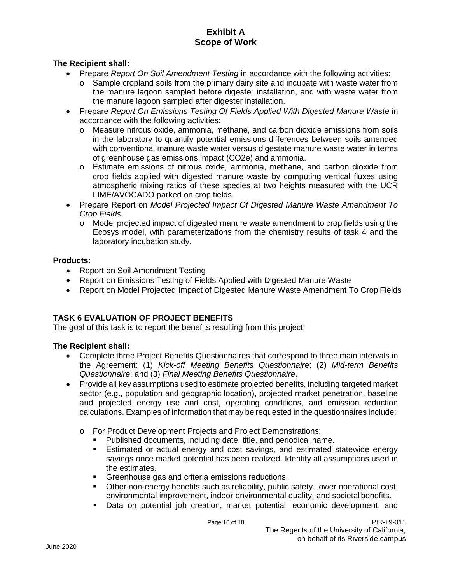### **The Recipient shall:**

- Prepare *Report On Soil Amendment Testing* in accordance with the following activities:
	- $\circ$  Sample cropland soils from the primary dairy site and incubate with waste water from the manure lagoon sampled before digester installation, and with waste water from the manure lagoon sampled after digester installation.
- Prepare *Report On Emissions Testing Of Fields Applied With Digested Manure Waste* in accordance with the following activities:
	- o Measure nitrous oxide, ammonia, methane, and carbon dioxide emissions from soils in the laboratory to quantify potential emissions differences between soils amended with conventional manure waste water versus digestate manure waste water in terms of greenhouse gas emissions impact (CO2e) and ammonia.
	- o Estimate emissions of nitrous oxide, ammonia, methane, and carbon dioxide from crop fields applied with digested manure waste by computing vertical fluxes using atmospheric mixing ratios of these species at two heights measured with the UCR LIME/AVOCADO parked on crop fields.
- Prepare Report on *Model Projected Impact Of Digested Manure Waste Amendment To Crop Fields.*
	- o Model projected impact of digested manure waste amendment to crop fields using the Ecosys model, with parameterizations from the chemistry results of task 4 and the laboratory incubation study.

### **Products:**

- Report on Soil Amendment Testing
- Report on Emissions Testing of Fields Applied with Digested Manure Waste
- Report on Model Projected Impact of Digested Manure Waste Amendment To Crop Fields

## **TASK 6 EVALUATION OF PROJECT BENEFITS**

The goal of this task is to report the benefits resulting from this project.

## **The Recipient shall:**

- Complete three Project Benefits Questionnaires that correspond to three main intervals in the Agreement: (1) *Kick-off Meeting Benefits Questionnaire*; (2) *Mid-term Benefits Questionnaire*; and (3) *Final Meeting Benefits Questionnaire*.
- Provide all key assumptions used to estimate projected benefits, including targeted market sector (e.g., population and geographic location), projected market penetration, baseline and projected energy use and cost, operating conditions, and emission reduction calculations. Examples of information that may be requested in the questionnaires include:
	- o For Product Development Projects and Project Demonstrations:
		- Published documents, including date, title, and periodical name.
		- Estimated or actual energy and cost savings, and estimated statewide energy savings once market potential has been realized. Identify all assumptions used in the estimates.
		- **Greenhouse gas and criteria emissions reductions.**
		- Other non-energy benefits such as reliability, public safety, lower operational cost, environmental improvement, indoor environmental quality, and societal benefits.
		- Data on potential job creation, market potential, economic development, and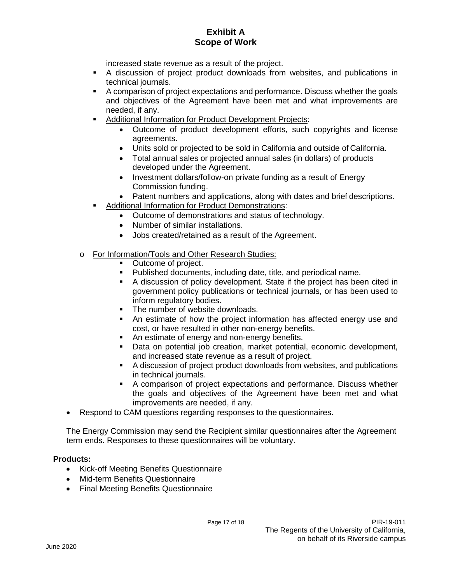increased state revenue as a result of the project.

- A discussion of project product downloads from websites, and publications in technical journals.
- A comparison of project expectations and performance. Discuss whether the goals and objectives of the Agreement have been met and what improvements are needed, if any.
- Additional Information for Product Development Projects:
	- Outcome of product development efforts, such copyrights and license agreements.
	- Units sold or projected to be sold in California and outside of California.
	- Total annual sales or projected annual sales (in dollars) of products developed under the Agreement.
	- Investment dollars/follow-on private funding as a result of Energy Commission funding.
	- Patent numbers and applications, along with dates and brief descriptions.
- Additional Information for Product Demonstrations:
	- Outcome of demonstrations and status of technology.
	- Number of similar installations.
	- Jobs created/retained as a result of the Agreement.
- o For Information/Tools and Other Research Studies:
	- Outcome of project.
	- **Published documents, including date, title, and periodical name.**
	- A discussion of policy development. State if the project has been cited in government policy publications or technical journals, or has been used to inform regulatory bodies.
	- The number of website downloads.
	- An estimate of how the project information has affected energy use and cost, or have resulted in other non-energy benefits.
	- An estimate of energy and non-energy benefits.
	- Data on potential job creation, market potential, economic development, and increased state revenue as a result of project.
	- A discussion of project product downloads from websites, and publications in technical journals.
	- A comparison of project expectations and performance. Discuss whether the goals and objectives of the Agreement have been met and what improvements are needed, if any.
- Respond to CAM questions regarding responses to the questionnaires.

The Energy Commission may send the Recipient similar questionnaires after the Agreement term ends. Responses to these questionnaires will be voluntary.

### **Products:**

- Kick-off Meeting Benefits Questionnaire
- Mid-term Benefits Questionnaire
- Final Meeting Benefits Questionnaire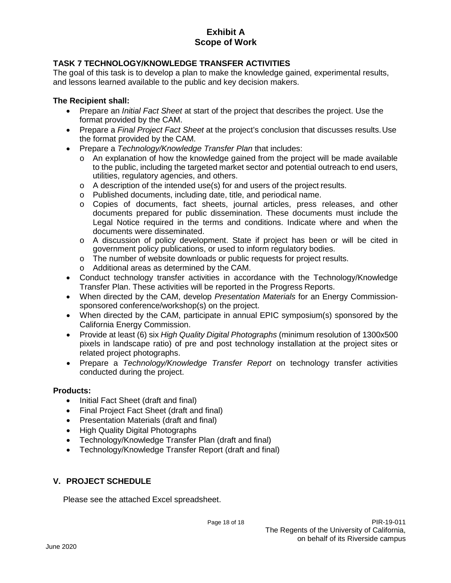## **TASK 7 TECHNOLOGY/KNOWLEDGE TRANSFER ACTIVITIES**

The goal of this task is to develop a plan to make the knowledge gained, experimental results, and lessons learned available to the public and key decision makers.

### **The Recipient shall:**

- Prepare an *Initial Fact Sheet* at start of the project that describes the project. Use the format provided by the CAM.
- Prepare a *Final Project Fact Sheet* at the project's conclusion that discusses results.Use the format provided by the CAM.
- Prepare a *Technology/Knowledge Transfer Plan* that includes:
	- o An explanation of how the knowledge gained from the project will be made available to the public, including the targeted market sector and potential outreach to end users, utilities, regulatory agencies, and others.
	- $\circ$  A description of the intended use(s) for and users of the project results.
	- o Published documents, including date, title, and periodical name.
	- o Copies of documents, fact sheets, journal articles, press releases, and other documents prepared for public dissemination. These documents must include the Legal Notice required in the terms and conditions. Indicate where and when the documents were disseminated.
	- o A discussion of policy development. State if project has been or will be cited in government policy publications, or used to inform regulatory bodies.
	- o The number of website downloads or public requests for project results.
	- o Additional areas as determined by the CAM.
- Conduct technology transfer activities in accordance with the Technology/Knowledge Transfer Plan. These activities will be reported in the Progress Reports.
- When directed by the CAM, develop *Presentation Materials* for an Energy Commissionsponsored conference/workshop(s) on the project.
- When directed by the CAM, participate in annual EPIC symposium(s) sponsored by the California Energy Commission.
- Provide at least (6) six *High Quality Digital Photographs* (minimum resolution of 1300x500 pixels in landscape ratio) of pre and post technology installation at the project sites or related project photographs.
- Prepare a *Technology/Knowledge Transfer Report* on technology transfer activities conducted during the project.

### **Products:**

- Initial Fact Sheet (draft and final)
- Final Project Fact Sheet (draft and final)
- Presentation Materials (draft and final)
- High Quality Digital Photographs
- Technology/Knowledge Transfer Plan (draft and final)
- Technology/Knowledge Transfer Report (draft and final)

## **V. PROJECT SCHEDULE**

Please see the attached Excel spreadsheet.